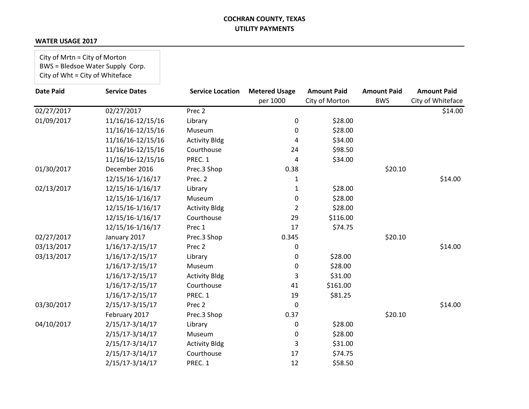#### **WATER USAGE 2017**

City of Mrtn = City of Morton BWS = Bledsoe Water Supply Corp. City of Wht = City of Whiteface

| <b>Date Paid</b> | <b>Service Dates</b> | <b>Service Location</b> | <b>Metered Usage</b> | <b>Amount Paid</b> | <b>Amount Paid</b> | <b>Amount Paid</b> |
|------------------|----------------------|-------------------------|----------------------|--------------------|--------------------|--------------------|
|                  |                      |                         | per 1000             | City of Morton     | <b>BWS</b>         | City of Whiteface  |
| 02/27/2017       | 02/27/2017           | Prec 2                  |                      |                    |                    | \$14.00            |
| 01/09/2017       | 11/16/16-12/15/16    | Library                 | 0                    | \$28.00            |                    |                    |
|                  | 11/16/16-12/15/16    | Museum                  | 0                    | \$28.00            |                    |                    |
|                  | 11/16/16-12/15/16    | <b>Activity Bldg</b>    | 4                    | \$34.00            |                    |                    |
|                  | 11/16/16-12/15/16    | Courthouse              | 24                   | \$98.50            |                    |                    |
|                  | 11/16/16-12/15/16    | PREC. 1                 | 4                    | \$34.00            |                    |                    |
| 01/30/2017       | December 2016        | Prec.3 Shop             | 0.38                 |                    | \$20.10            |                    |
|                  | 12/15/16-1/16/17     | Prec. 2                 | 1                    |                    |                    | \$14.00            |
| 02/13/2017       | 12/15/16-1/16/17     | Library                 | 1                    | \$28.00            |                    |                    |
|                  | 12/15/16-1/16/17     | Museum                  | 0                    | \$28.00            |                    |                    |
|                  | 12/15/16-1/16/17     | <b>Activity Bldg</b>    | $\overline{2}$       | \$28.00            |                    |                    |
|                  | 12/15/16-1/16/17     | Courthouse              | 29                   | \$116.00           |                    |                    |
|                  | 12/15/16-1/16/17     | Prec 1                  | 17                   | \$74.75            |                    |                    |
| 02/27/2017       | January 2017         | Prec.3 Shop             | 0.345                |                    | \$20.10            |                    |
| 03/13/2017       | $1/16/17 - 2/15/17$  | Prec 2                  | 0                    |                    |                    | \$14.00            |
| 03/13/2017       | 1/16/17-2/15/17      | Library                 | 0                    | \$28.00            |                    |                    |
|                  | $1/16/17 - 2/15/17$  | Museum                  | 0                    | \$28.00            |                    |                    |
|                  | $1/16/17 - 2/15/17$  | <b>Activity Bldg</b>    | 3                    | \$31.00            |                    |                    |
|                  | $1/16/17 - 2/15/17$  | Courthouse              | 41                   | \$161.00           |                    |                    |
|                  | $1/16/17 - 2/15/17$  | PREC. 1                 | 19                   | \$81.25            |                    |                    |
| 03/30/2017       | 2/15/17-3/15/17      | Prec 2                  | 0                    |                    |                    | \$14.00            |
|                  | February 2017        | Prec.3 Shop             | 0.37                 |                    | \$20.10            |                    |
| 04/10/2017       | 2/15/17-3/14/17      | Library                 | 0                    | \$28.00            |                    |                    |
|                  | 2/15/17-3/14/17      | Museum                  | 0                    | \$28.00            |                    |                    |
|                  | $2/15/17 - 3/14/17$  | <b>Activity Bldg</b>    | 3                    | \$31.00            |                    |                    |
|                  | 2/15/17-3/14/17      | Courthouse              | 17                   | \$74.75            |                    |                    |
|                  | 2/15/17-3/14/17      | PREC. 1                 | 12                   | \$58.50            |                    |                    |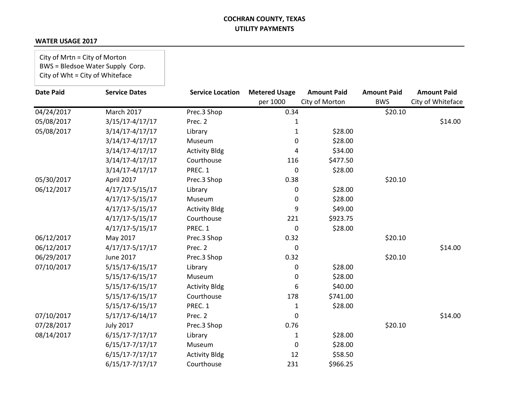#### **WATER USAGE 2017**

City of Mrtn = City of Morton BWS = Bledsoe Water Supply Corp. City of Wht = City of Whiteface

| <b>Date Paid</b> | <b>Service Dates</b> | <b>Service Location</b> | <b>Metered Usage</b> | <b>Amount Paid</b> | <b>Amount Paid</b> | <b>Amount Paid</b> |
|------------------|----------------------|-------------------------|----------------------|--------------------|--------------------|--------------------|
|                  |                      |                         | per 1000             | City of Morton     | <b>BWS</b>         | City of Whiteface  |
| 04/24/2017       | March 2017           | Prec.3 Shop             | 0.34                 |                    | \$20.10            |                    |
| 05/08/2017       | 3/15/17-4/17/17      | Prec. 2                 | 1                    |                    |                    | \$14.00            |
| 05/08/2017       | 3/14/17-4/17/17      | Library                 | $\mathbf{1}$         | \$28.00            |                    |                    |
|                  | 3/14/17-4/17/17      | Museum                  | $\Omega$             | \$28.00            |                    |                    |
|                  | 3/14/17-4/17/17      | <b>Activity Bldg</b>    | 4                    | \$34.00            |                    |                    |
|                  | 3/14/17-4/17/17      | Courthouse              | 116                  | \$477.50           |                    |                    |
|                  | 3/14/17-4/17/17      | PREC. 1                 | 0                    | \$28.00            |                    |                    |
| 05/30/2017       | April 2017           | Prec.3 Shop             | 0.38                 |                    | \$20.10            |                    |
| 06/12/2017       | 4/17/17-5/15/17      | Library                 | 0                    | \$28.00            |                    |                    |
|                  | $4/17/17 - 5/15/17$  | Museum                  | 0                    | \$28.00            |                    |                    |
|                  | 4/17/17-5/15/17      | <b>Activity Bldg</b>    | 9                    | \$49.00            |                    |                    |
|                  | $4/17/17 - 5/15/17$  | Courthouse              | 221                  | \$923.75           |                    |                    |
|                  | 4/17/17-5/15/17      | PREC. 1                 | 0                    | \$28.00            |                    |                    |
| 06/12/2017       | May 2017             | Prec.3 Shop             | 0.32                 |                    | \$20.10            |                    |
| 06/12/2017       | $4/17/17-5/17/17$    | Prec. 2                 | $\Omega$             |                    |                    | \$14.00            |
| 06/29/2017       | <b>June 2017</b>     | Prec.3 Shop             | 0.32                 |                    | \$20.10            |                    |
| 07/10/2017       | 5/15/17-6/15/17      | Library                 | 0                    | \$28.00            |                    |                    |
|                  | 5/15/17-6/15/17      | Museum                  | 0                    | \$28.00            |                    |                    |
|                  | 5/15/17-6/15/17      | <b>Activity Bldg</b>    | 6                    | \$40.00            |                    |                    |
|                  | 5/15/17-6/15/17      | Courthouse              | 178                  | \$741.00           |                    |                    |
|                  | 5/15/17-6/15/17      | PREC. 1                 | 1                    | \$28.00            |                    |                    |
| 07/10/2017       | 5/17/17-6/14/17      | Prec. 2                 | 0                    |                    |                    | \$14.00            |
| 07/28/2017       | <b>July 2017</b>     | Prec.3 Shop             | 0.76                 |                    | \$20.10            |                    |
| 08/14/2017       | $6/15/17-7/17/17$    | Library                 | 1                    | \$28.00            |                    |                    |
|                  | $6/15/17 - 7/17/17$  | Museum                  | 0                    | \$28.00            |                    |                    |
|                  | 6/15/17-7/17/17      | <b>Activity Bldg</b>    | 12                   | \$58.50            |                    |                    |
|                  | 6/15/17-7/17/17      | Courthouse              | 231                  | \$966.25           |                    |                    |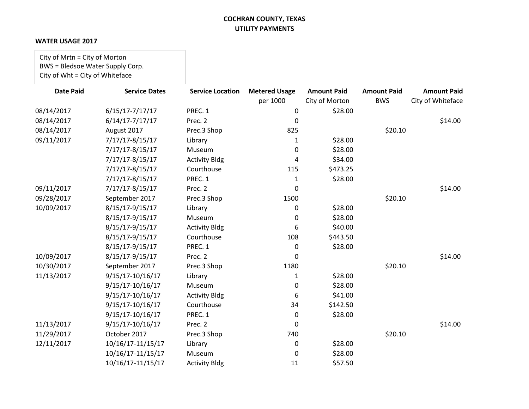#### **WATER USAGE 2017**

City of Mrtn = City of Morton BWS = Bledsoe Water Supply Corp. City of Wht = City of Whiteface

| <b>Date Paid</b> | <b>Service Dates</b> | <b>Service Location</b> | <b>Metered Usage</b> | <b>Amount Paid</b> | <b>Amount Paid</b> | <b>Amount Paid</b> |
|------------------|----------------------|-------------------------|----------------------|--------------------|--------------------|--------------------|
|                  |                      |                         | per 1000             | City of Morton     | <b>BWS</b>         | City of Whiteface  |
| 08/14/2017       | $6/15/17 - 7/17/17$  | PREC. 1                 | 0                    | \$28.00            |                    |                    |
| 08/14/2017       | $6/14/17 - 7/17/17$  | Prec. 2                 | 0                    |                    |                    | \$14.00            |
| 08/14/2017       | August 2017          | Prec.3 Shop             | 825                  |                    | \$20.10            |                    |
| 09/11/2017       | 7/17/17-8/15/17      | Library                 | 1                    | \$28.00            |                    |                    |
|                  | 7/17/17-8/15/17      | Museum                  | 0                    | \$28.00            |                    |                    |
|                  | 7/17/17-8/15/17      | <b>Activity Bldg</b>    | 4                    | \$34.00            |                    |                    |
|                  | 7/17/17-8/15/17      | Courthouse              | 115                  | \$473.25           |                    |                    |
|                  | 7/17/17-8/15/17      | PREC. 1                 | 1                    | \$28.00            |                    |                    |
| 09/11/2017       | 7/17/17-8/15/17      | Prec. 2                 | $\Omega$             |                    |                    | \$14.00            |
| 09/28/2017       | September 2017       | Prec.3 Shop             | 1500                 |                    | \$20.10            |                    |
| 10/09/2017       | 8/15/17-9/15/17      | Library                 | 0                    | \$28.00            |                    |                    |
|                  | 8/15/17-9/15/17      | Museum                  | 0                    | \$28.00            |                    |                    |
|                  | 8/15/17-9/15/17      | <b>Activity Bldg</b>    | 6                    | \$40.00            |                    |                    |
|                  | 8/15/17-9/15/17      | Courthouse              | 108                  | \$443.50           |                    |                    |
|                  | 8/15/17-9/15/17      | PREC. 1                 | 0                    | \$28.00            |                    |                    |
| 10/09/2017       | 8/15/17-9/15/17      | Prec. 2                 | 0                    |                    |                    | \$14.00            |
| 10/30/2017       | September 2017       | Prec.3 Shop             | 1180                 |                    | \$20.10            |                    |
| 11/13/2017       | 9/15/17-10/16/17     | Library                 | $\mathbf{1}$         | \$28.00            |                    |                    |
|                  | 9/15/17-10/16/17     | Museum                  | 0                    | \$28.00            |                    |                    |
|                  | 9/15/17-10/16/17     | <b>Activity Bldg</b>    | 6                    | \$41.00            |                    |                    |
|                  | 9/15/17-10/16/17     | Courthouse              | 34                   | \$142.50           |                    |                    |
|                  | 9/15/17-10/16/17     | PREC. 1                 | 0                    | \$28.00            |                    |                    |
| 11/13/2017       | 9/15/17-10/16/17     | Prec. 2                 | $\Omega$             |                    |                    | \$14.00            |
| 11/29/2017       | October 2017         | Prec.3 Shop             | 740                  |                    | \$20.10            |                    |
| 12/11/2017       | 10/16/17-11/15/17    | Library                 | 0                    | \$28.00            |                    |                    |
|                  | 10/16/17-11/15/17    | Museum                  | 0                    | \$28.00            |                    |                    |
|                  | 10/16/17-11/15/17    | <b>Activity Bldg</b>    | 11                   | \$57.50            |                    |                    |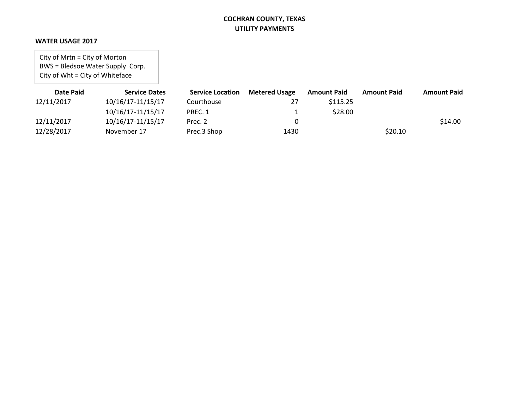#### **WATER USAGE 2017**

City of Mrtn = City of Morton BWS = Bledsoe Water Supply Corp. City of Wht = City of Whiteface

| Date Paid  | <b>Service Dates</b> | <b>Service Location</b> | <b>Metered Usage</b> | <b>Amount Paid</b> | <b>Amount Paid</b> | <b>Amount Paid</b> |
|------------|----------------------|-------------------------|----------------------|--------------------|--------------------|--------------------|
| 12/11/2017 | 10/16/17-11/15/17    | Courthouse              | 27                   | \$115.25           |                    |                    |
|            | 10/16/17-11/15/17    | PREC. 1                 |                      | \$28.00            |                    |                    |
| 12/11/2017 | 10/16/17-11/15/17    | Prec. 2                 |                      |                    |                    | \$14.00            |
| 12/28/2017 | November 17          | Prec.3 Shop             | 1430                 |                    | \$20.10            |                    |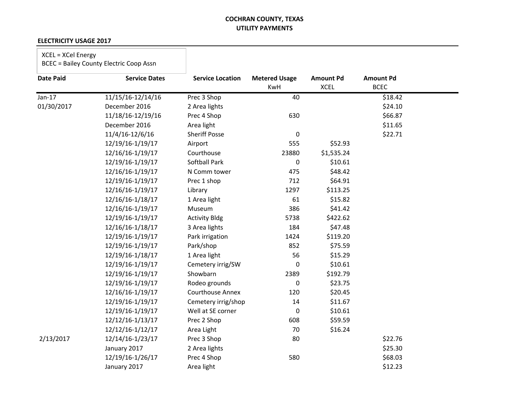#### **ELECTRICITY USAGE 2017**

## XCEL = XCel Energy

| <b>Date Paid</b> | <b>Service Dates</b> | <b>Service Location</b> | <b>Metered Usage</b><br>KwH | <b>Amount Pd</b><br><b>XCEL</b> | <b>Amount Pd</b><br><b>BCEC</b> |  |
|------------------|----------------------|-------------------------|-----------------------------|---------------------------------|---------------------------------|--|
| $Jan-17$         | 11/15/16-12/14/16    | Prec 3 Shop             | 40                          |                                 | \$18.42                         |  |
| 01/30/2017       | December 2016        | 2 Area lights           |                             |                                 | \$24.10                         |  |
|                  | 11/18/16-12/19/16    | Prec 4 Shop             | 630                         |                                 | \$66.87                         |  |
|                  | December 2016        | Area light              |                             |                                 | \$11.65                         |  |
|                  | 11/4/16-12/6/16      | <b>Sheriff Posse</b>    | 0                           |                                 | \$22.71                         |  |
|                  | 12/19/16-1/19/17     | Airport                 | 555                         | \$52.93                         |                                 |  |
|                  | 12/16/16-1/19/17     | Courthouse              | 23880                       | \$1,535.24                      |                                 |  |
|                  | 12/19/16-1/19/17     | <b>Softball Park</b>    | 0                           | \$10.61                         |                                 |  |
|                  | 12/16/16-1/19/17     | N Comm tower            | 475                         | \$48.42                         |                                 |  |
|                  | 12/19/16-1/19/17     | Prec 1 shop             | 712                         | \$64.91                         |                                 |  |
|                  | 12/16/16-1/19/17     | Library                 | 1297                        | \$113.25                        |                                 |  |
|                  | 12/16/16-1/18/17     | 1 Area light            | 61                          | \$15.82                         |                                 |  |
|                  | 12/16/16-1/19/17     | Museum                  | 386                         | \$41.42                         |                                 |  |
|                  | 12/19/16-1/19/17     | <b>Activity Bldg</b>    | 5738                        | \$422.62                        |                                 |  |
|                  | 12/16/16-1/18/17     | 3 Area lights           | 184                         | \$47.48                         |                                 |  |
|                  | 12/19/16-1/19/17     | Park irrigation         | 1424                        | \$119.20                        |                                 |  |
|                  | 12/19/16-1/19/17     | Park/shop               | 852                         | \$75.59                         |                                 |  |
|                  | 12/19/16-1/18/17     | 1 Area light            | 56                          | \$15.29                         |                                 |  |
|                  | 12/19/16-1/19/17     | Cemetery irrig/SW       | 0                           | \$10.61                         |                                 |  |
|                  | 12/19/16-1/19/17     | Showbarn                | 2389                        | \$192.79                        |                                 |  |
|                  | 12/19/16-1/19/17     | Rodeo grounds           | $\pmb{0}$                   | \$23.75                         |                                 |  |
|                  | 12/16/16-1/19/17     | <b>Courthouse Annex</b> | 120                         | \$20.45                         |                                 |  |
|                  | 12/19/16-1/19/17     | Cemetery irrig/shop     | 14                          | \$11.67                         |                                 |  |
|                  | 12/19/16-1/19/17     | Well at SE corner       | 0                           | \$10.61                         |                                 |  |
|                  | 12/12/16-1/13/17     | Prec 2 Shop             | 608                         | \$59.59                         |                                 |  |
|                  | 12/12/16-1/12/17     | Area Light              | 70                          | \$16.24                         |                                 |  |
| 2/13/2017        | 12/14/16-1/23/17     | Prec 3 Shop             | 80                          |                                 | \$22.76                         |  |
|                  | January 2017         | 2 Area lights           |                             |                                 | \$25.30                         |  |
|                  | 12/19/16-1/26/17     | Prec 4 Shop             | 580                         |                                 | \$68.03                         |  |
|                  | January 2017         | Area light              |                             |                                 | \$12.23                         |  |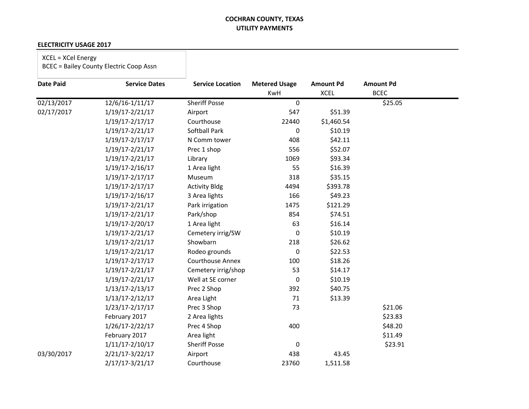#### **ELECTRICITY USAGE 2017**

# XCEL = XCel Energy

| <b>Date Paid</b> | <b>Service Dates</b> | <b>Service Location</b> | <b>Metered Usage</b> | <b>Amount Pd</b> | <b>Amount Pd</b> |  |
|------------------|----------------------|-------------------------|----------------------|------------------|------------------|--|
|                  |                      |                         | KwH                  | <b>XCEL</b>      | <b>BCEC</b>      |  |
| 02/13/2017       | 12/6/16-1/11/17      | <b>Sheriff Posse</b>    | 0                    |                  | \$25.05          |  |
| 02/17/2017       | 1/19/17-2/21/17      | Airport                 | 547                  | \$51.39          |                  |  |
|                  | 1/19/17-2/17/17      | Courthouse              | 22440                | \$1,460.54       |                  |  |
|                  | 1/19/17-2/21/17      | Softball Park           | 0                    | \$10.19          |                  |  |
|                  | 1/19/17-2/17/17      | N Comm tower            | 408                  | \$42.11          |                  |  |
|                  | 1/19/17-2/21/17      | Prec 1 shop             | 556                  | \$52.07          |                  |  |
|                  | 1/19/17-2/21/17      | Library                 | 1069                 | \$93.34          |                  |  |
|                  | 1/19/17-2/16/17      | 1 Area light            | 55                   | \$16.39          |                  |  |
|                  | 1/19/17-2/17/17      | Museum                  | 318                  | \$35.15          |                  |  |
|                  | 1/19/17-2/17/17      | <b>Activity Bldg</b>    | 4494                 | \$393.78         |                  |  |
|                  | 1/19/17-2/16/17      | 3 Area lights           | 166                  | \$49.23          |                  |  |
|                  | 1/19/17-2/21/17      | Park irrigation         | 1475                 | \$121.29         |                  |  |
|                  | 1/19/17-2/21/17      | Park/shop               | 854                  | \$74.51          |                  |  |
|                  | 1/19/17-2/20/17      | 1 Area light            | 63                   | \$16.14          |                  |  |
|                  | 1/19/17-2/21/17      | Cemetery irrig/SW       | $\pmb{0}$            | \$10.19          |                  |  |
|                  | 1/19/17-2/21/17      | Showbarn                | 218                  | \$26.62          |                  |  |
|                  | 1/19/17-2/21/17      | Rodeo grounds           | $\mathbf 0$          | \$22.53          |                  |  |
|                  | 1/19/17-2/17/17      | <b>Courthouse Annex</b> | 100                  | \$18.26          |                  |  |
|                  | 1/19/17-2/21/17      | Cemetery irrig/shop     | 53                   | \$14.17          |                  |  |
|                  | 1/19/17-2/21/17      | Well at SE corner       | $\boldsymbol{0}$     | \$10.19          |                  |  |
|                  | 1/13/17-2/13/17      | Prec 2 Shop             | 392                  | \$40.75          |                  |  |
|                  | $1/13/17 - 2/12/17$  | Area Light              | 71                   | \$13.39          |                  |  |
|                  | 1/23/17-2/17/17      | Prec 3 Shop             | 73                   |                  | \$21.06          |  |
|                  | February 2017        | 2 Area lights           |                      |                  | \$23.83          |  |
|                  | 1/26/17-2/22/17      | Prec 4 Shop             | 400                  |                  | \$48.20          |  |
|                  | February 2017        | Area light              |                      |                  | \$11.49          |  |
|                  | $1/11/17 - 2/10/17$  | <b>Sheriff Posse</b>    | $\boldsymbol{0}$     |                  | \$23.91          |  |
| 03/30/2017       | 2/21/17-3/22/17      | Airport                 | 438                  | 43.45            |                  |  |
|                  | 2/17/17-3/21/17      | Courthouse              | 23760                | 1,511.58         |                  |  |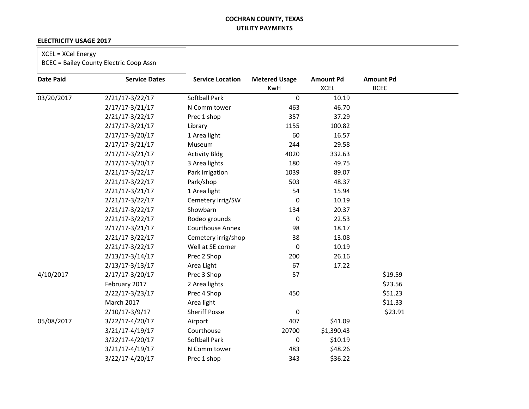#### **ELECTRICITY USAGE 2017**

## XCEL = XCel Energy

| <b>Date Paid</b> | <b>Service Dates</b> | <b>Service Location</b> | <b>Metered Usage</b><br>KwH | <b>Amount Pd</b><br><b>XCEL</b> | <b>Amount Pd</b><br><b>BCEC</b> |
|------------------|----------------------|-------------------------|-----------------------------|---------------------------------|---------------------------------|
| 03/20/2017       | 2/21/17-3/22/17      | <b>Softball Park</b>    | 0                           | 10.19                           |                                 |
|                  | 2/17/17-3/21/17      | N Comm tower            | 463                         | 46.70                           |                                 |
|                  | 2/21/17-3/22/17      | Prec 1 shop             | 357                         | 37.29                           |                                 |
|                  | 2/17/17-3/21/17      | Library                 | 1155                        | 100.82                          |                                 |
|                  | $2/17/17 - 3/20/17$  | 1 Area light            | 60                          | 16.57                           |                                 |
|                  | 2/17/17-3/21/17      | Museum                  | 244                         | 29.58                           |                                 |
|                  | 2/17/17-3/21/17      | <b>Activity Bldg</b>    | 4020                        | 332.63                          |                                 |
|                  | 2/17/17-3/20/17      | 3 Area lights           | 180                         | 49.75                           |                                 |
|                  | 2/21/17-3/22/17      | Park irrigation         | 1039                        | 89.07                           |                                 |
|                  | 2/21/17-3/22/17      | Park/shop               | 503                         | 48.37                           |                                 |
|                  | 2/21/17-3/21/17      | 1 Area light            | 54                          | 15.94                           |                                 |
|                  | 2/21/17-3/22/17      | Cemetery irrig/SW       | 0                           | 10.19                           |                                 |
|                  | 2/21/17-3/22/17      | Showbarn                | 134                         | 20.37                           |                                 |
|                  | 2/21/17-3/22/17      | Rodeo grounds           | 0                           | 22.53                           |                                 |
|                  | $2/17/17 - 3/21/17$  | <b>Courthouse Annex</b> | 98                          | 18.17                           |                                 |
|                  | 2/21/17-3/22/17      | Cemetery irrig/shop     | 38                          | 13.08                           |                                 |
|                  | 2/21/17-3/22/17      | Well at SE corner       | 0                           | 10.19                           |                                 |
|                  | 2/13/17-3/14/17      | Prec 2 Shop             | 200                         | 26.16                           |                                 |
|                  | 2/13/17-3/13/17      | Area Light              | 67                          | 17.22                           |                                 |
| 4/10/2017        | 2/17/17-3/20/17      | Prec 3 Shop             | 57                          |                                 | \$19.59                         |
|                  | February 2017        | 2 Area lights           |                             |                                 | \$23.56                         |
|                  | 2/22/17-3/23/17      | Prec 4 Shop             | 450                         |                                 | \$51.23                         |
|                  | March 2017           | Area light              |                             |                                 | \$11.33                         |
|                  | $2/10/17 - 3/9/17$   | <b>Sheriff Posse</b>    | 0                           |                                 | \$23.91                         |
| 05/08/2017       | 3/22/17-4/20/17      | Airport                 | 407                         | \$41.09                         |                                 |
|                  | 3/21/17-4/19/17      | Courthouse              | 20700                       | \$1,390.43                      |                                 |
|                  | 3/22/17-4/20/17      | Softball Park           | 0                           | \$10.19                         |                                 |
|                  | 3/21/17-4/19/17      | N Comm tower            | 483                         | \$48.26                         |                                 |
|                  | 3/22/17-4/20/17      | Prec 1 shop             | 343                         | \$36.22                         |                                 |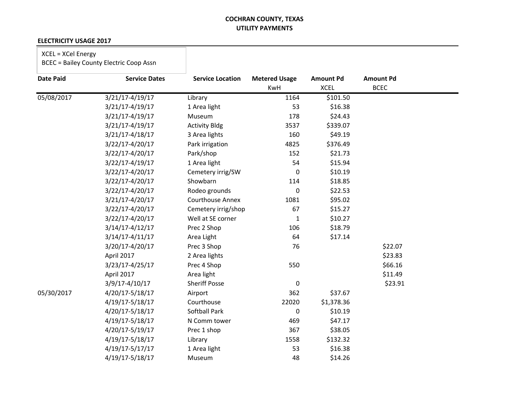#### **ELECTRICITY USAGE 2017**

## XCEL = XCel Energy

| <b>Date Paid</b> | <b>Service Dates</b> | <b>Service Location</b> | <b>Metered Usage</b><br>KwH | <b>Amount Pd</b><br><b>XCEL</b> | <b>Amount Pd</b><br><b>BCEC</b> |  |
|------------------|----------------------|-------------------------|-----------------------------|---------------------------------|---------------------------------|--|
| 05/08/2017       | 3/21/17-4/19/17      | Library                 | 1164                        | \$101.50                        |                                 |  |
|                  | 3/21/17-4/19/17      | 1 Area light            | 53                          | \$16.38                         |                                 |  |
|                  | 3/21/17-4/19/17      | Museum                  | 178                         | \$24.43                         |                                 |  |
|                  | 3/21/17-4/19/17      | <b>Activity Bldg</b>    | 3537                        | \$339.07                        |                                 |  |
|                  | 3/21/17-4/18/17      | 3 Area lights           | 160                         | \$49.19                         |                                 |  |
|                  | 3/22/17-4/20/17      | Park irrigation         | 4825                        | \$376.49                        |                                 |  |
|                  | 3/22/17-4/20/17      | Park/shop               | 152                         | \$21.73                         |                                 |  |
|                  | 3/22/17-4/19/17      | 1 Area light            | 54                          | \$15.94                         |                                 |  |
|                  | 3/22/17-4/20/17      | Cemetery irrig/SW       | 0                           | \$10.19                         |                                 |  |
|                  | 3/22/17-4/20/17      | Showbarn                | 114                         | \$18.85                         |                                 |  |
|                  | 3/22/17-4/20/17      | Rodeo grounds           | 0                           | \$22.53                         |                                 |  |
|                  | 3/21/17-4/20/17      | <b>Courthouse Annex</b> | 1081                        | \$95.02                         |                                 |  |
|                  | 3/22/17-4/20/17      | Cemetery irrig/shop     | 67                          | \$15.27                         |                                 |  |
|                  | 3/22/17-4/20/17      | Well at SE corner       | 1                           | \$10.27                         |                                 |  |
|                  | 3/14/17-4/12/17      | Prec 2 Shop             | 106                         | \$18.79                         |                                 |  |
|                  | $3/14/17 - 4/11/17$  | Area Light              | 64                          | \$17.14                         |                                 |  |
|                  | 3/20/17-4/20/17      | Prec 3 Shop             | 76                          |                                 | \$22.07                         |  |
|                  | April 2017           | 2 Area lights           |                             |                                 | \$23.83                         |  |
|                  | 3/23/17-4/25/17      | Prec 4 Shop             | 550                         |                                 | \$66.16                         |  |
|                  | April 2017           | Area light              |                             |                                 | \$11.49                         |  |
|                  | 3/9/17-4/10/17       | <b>Sheriff Posse</b>    | $\mathbf 0$                 |                                 | \$23.91                         |  |
| 05/30/2017       | 4/20/17-5/18/17      | Airport                 | 362                         | \$37.67                         |                                 |  |
|                  | 4/19/17-5/18/17      | Courthouse              | 22020                       | \$1,378.36                      |                                 |  |
|                  | 4/20/17-5/18/17      | Softball Park           | 0                           | \$10.19                         |                                 |  |
|                  | 4/19/17-5/18/17      | N Comm tower            | 469                         | \$47.17                         |                                 |  |
|                  | 4/20/17-5/19/17      | Prec 1 shop             | 367                         | \$38.05                         |                                 |  |
|                  | 4/19/17-5/18/17      | Library                 | 1558                        | \$132.32                        |                                 |  |
|                  | 4/19/17-5/17/17      | 1 Area light            | 53                          | \$16.38                         |                                 |  |
|                  | 4/19/17-5/18/17      | Museum                  | 48                          | \$14.26                         |                                 |  |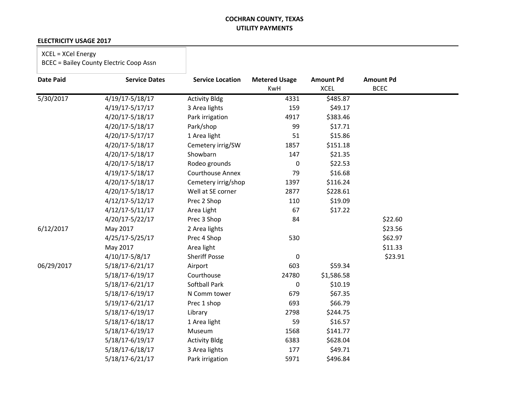#### **ELECTRICITY USAGE 2017**

## XCEL = XCel Energy

| <b>Date Paid</b> | <b>Service Dates</b> | <b>Service Location</b> | <b>Metered Usage</b> | <b>Amount Pd</b> | <b>Amount Pd</b> |  |
|------------------|----------------------|-------------------------|----------------------|------------------|------------------|--|
|                  |                      |                         | <b>KwH</b>           | <b>XCEL</b>      | <b>BCEC</b>      |  |
| 5/30/2017        | 4/19/17-5/18/17      | <b>Activity Bldg</b>    | 4331                 | \$485.87         |                  |  |
|                  | 4/19/17-5/17/17      | 3 Area lights           | 159                  | \$49.17          |                  |  |
|                  | 4/20/17-5/18/17      | Park irrigation         | 4917                 | \$383.46         |                  |  |
|                  | 4/20/17-5/18/17      | Park/shop               | 99                   | \$17.71          |                  |  |
|                  | 4/20/17-5/17/17      | 1 Area light            | 51                   | \$15.86          |                  |  |
|                  | 4/20/17-5/18/17      | Cemetery irrig/SW       | 1857                 | \$151.18         |                  |  |
|                  | 4/20/17-5/18/17      | Showbarn                | 147                  | \$21.35          |                  |  |
|                  | 4/20/17-5/18/17      | Rodeo grounds           | 0                    | \$22.53          |                  |  |
|                  | 4/19/17-5/18/17      | <b>Courthouse Annex</b> | 79                   | \$16.68          |                  |  |
|                  | 4/20/17-5/18/17      | Cemetery irrig/shop     | 1397                 | \$116.24         |                  |  |
|                  | 4/20/17-5/18/17      | Well at SE corner       | 2877                 | \$228.61         |                  |  |
|                  | $4/12/17 - 5/12/17$  | Prec 2 Shop             | 110                  | \$19.09          |                  |  |
|                  | $4/12/17 - 5/11/17$  | Area Light              | 67                   | \$17.22          |                  |  |
|                  | 4/20/17-5/22/17      | Prec 3 Shop             | 84                   |                  | \$22.60          |  |
| 6/12/2017        | May 2017             | 2 Area lights           |                      |                  | \$23.56          |  |
|                  | 4/25/17-5/25/17      | Prec 4 Shop             | 530                  |                  | \$62.97          |  |
|                  | May 2017             | Area light              |                      |                  | \$11.33          |  |
|                  | $4/10/17 - 5/8/17$   | <b>Sheriff Posse</b>    | $\pmb{0}$            |                  | \$23.91          |  |
| 06/29/2017       | 5/18/17-6/21/17      | Airport                 | 603                  | \$59.34          |                  |  |
|                  | 5/18/17-6/19/17      | Courthouse              | 24780                | \$1,586.58       |                  |  |
|                  | 5/18/17-6/21/17      | <b>Softball Park</b>    | 0                    | \$10.19          |                  |  |
|                  | 5/18/17-6/19/17      | N Comm tower            | 679                  | \$67.35          |                  |  |
|                  | 5/19/17-6/21/17      | Prec 1 shop             | 693                  | \$66.79          |                  |  |
|                  | 5/18/17-6/19/17      | Library                 | 2798                 | \$244.75         |                  |  |
|                  | 5/18/17-6/18/17      | 1 Area light            | 59                   | \$16.57          |                  |  |
|                  | 5/18/17-6/19/17      | Museum                  | 1568                 | \$141.77         |                  |  |
|                  | 5/18/17-6/19/17      | <b>Activity Bldg</b>    | 6383                 | \$628.04         |                  |  |
|                  | 5/18/17-6/18/17      | 3 Area lights           | 177                  | \$49.71          |                  |  |
|                  | 5/18/17-6/21/17      | Park irrigation         | 5971                 | \$496.84         |                  |  |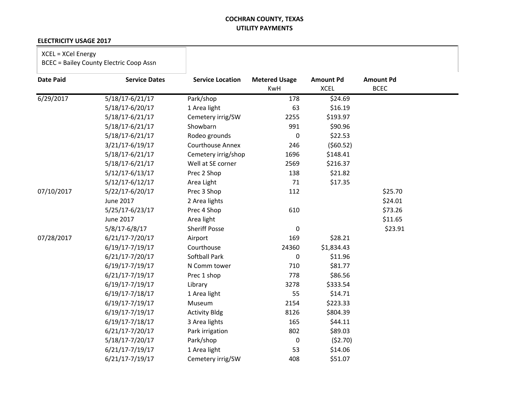#### **ELECTRICITY USAGE 2017**

## XCEL = XCel Energy

| <b>Date Paid</b> | <b>Service Dates</b> | <b>Service Location</b> | <b>Metered Usage</b><br><b>KwH</b> | <b>Amount Pd</b><br><b>XCEL</b> | <b>Amount Pd</b><br><b>BCEC</b> |  |
|------------------|----------------------|-------------------------|------------------------------------|---------------------------------|---------------------------------|--|
| 6/29/2017        | 5/18/17-6/21/17      | Park/shop               | 178                                | \$24.69                         |                                 |  |
|                  | 5/18/17-6/20/17      | 1 Area light            | 63                                 | \$16.19                         |                                 |  |
|                  | 5/18/17-6/21/17      | Cemetery irrig/SW       | 2255                               | \$193.97                        |                                 |  |
|                  | 5/18/17-6/21/17      | Showbarn                | 991                                | \$90.96                         |                                 |  |
|                  | 5/18/17-6/21/17      | Rodeo grounds           | 0                                  | \$22.53                         |                                 |  |
|                  | 3/21/17-6/19/17      | <b>Courthouse Annex</b> | 246                                | (560.52)                        |                                 |  |
|                  | 5/18/17-6/21/17      | Cemetery irrig/shop     | 1696                               | \$148.41                        |                                 |  |
|                  | 5/18/17-6/21/17      | Well at SE corner       | 2569                               | \$216.37                        |                                 |  |
|                  | $5/12/17 - 6/13/17$  | Prec 2 Shop             | 138                                | \$21.82                         |                                 |  |
|                  | 5/12/17-6/12/17      | Area Light              | 71                                 | \$17.35                         |                                 |  |
| 07/10/2017       | 5/22/17-6/20/17      | Prec 3 Shop             | 112                                |                                 | \$25.70                         |  |
|                  | June 2017            | 2 Area lights           |                                    |                                 | \$24.01                         |  |
|                  | 5/25/17-6/23/17      | Prec 4 Shop             | 610                                |                                 | \$73.26                         |  |
|                  | June 2017            | Area light              |                                    |                                 | \$11.65                         |  |
|                  | 5/8/17-6/8/17        | <b>Sheriff Posse</b>    | $\pmb{0}$                          |                                 | \$23.91                         |  |
| 07/28/2017       | 6/21/17-7/20/17      | Airport                 | 169                                | \$28.21                         |                                 |  |
|                  | 6/19/17-7/19/17      | Courthouse              | 24360                              | \$1,834.43                      |                                 |  |
|                  | 6/21/17-7/20/17      | Softball Park           | 0                                  | \$11.96                         |                                 |  |
|                  | 6/19/17-7/19/17      | N Comm tower            | 710                                | \$81.77                         |                                 |  |
|                  | 6/21/17-7/19/17      | Prec 1 shop             | 778                                | \$86.56                         |                                 |  |
|                  | 6/19/17-7/19/17      | Library                 | 3278                               | \$333.54                        |                                 |  |
|                  | 6/19/17-7/18/17      | 1 Area light            | 55                                 | \$14.71                         |                                 |  |
|                  | 6/19/17-7/19/17      | Museum                  | 2154                               | \$223.33                        |                                 |  |
|                  | 6/19/17-7/19/17      | <b>Activity Bldg</b>    | 8126                               | \$804.39                        |                                 |  |
|                  | 6/19/17-7/18/17      | 3 Area lights           | 165                                | \$44.11                         |                                 |  |
|                  | 6/21/17-7/20/17      | Park irrigation         | 802                                | \$89.03                         |                                 |  |
|                  | 5/18/17-7/20/17      | Park/shop               | 0                                  | (52.70)                         |                                 |  |
|                  | 6/21/17-7/19/17      | 1 Area light            | 53                                 | \$14.06                         |                                 |  |
|                  | $6/21/17 - 7/19/17$  | Cemetery irrig/SW       | 408                                | \$51.07                         |                                 |  |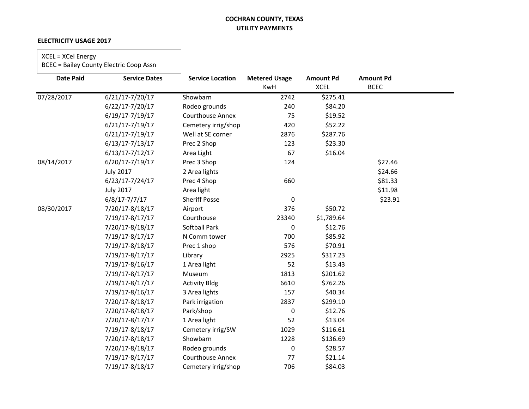#### **ELECTRICITY USAGE 2017**

## XCEL = XCel Energy

| <b>Date Paid</b> | <b>Service Dates</b> | <b>Service Location</b> | <b>Metered Usage</b><br><b>KwH</b> | <b>Amount Pd</b><br><b>XCEL</b> | <b>Amount Pd</b><br><b>BCEC</b> |  |
|------------------|----------------------|-------------------------|------------------------------------|---------------------------------|---------------------------------|--|
| 07/28/2017       | 6/21/17-7/20/17      | Showbarn                | 2742                               | \$275.41                        |                                 |  |
|                  | 6/22/17-7/20/17      | Rodeo grounds           | 240                                | \$84.20                         |                                 |  |
|                  | 6/19/17-7/19/17      | Courthouse Annex        | 75                                 | \$19.52                         |                                 |  |
|                  | 6/21/17-7/19/17      | Cemetery irrig/shop     | 420                                | \$52.22                         |                                 |  |
|                  | 6/21/17-7/19/17      | Well at SE corner       | 2876                               | \$287.76                        |                                 |  |
|                  | $6/13/17 - 7/13/17$  | Prec 2 Shop             | 123                                | \$23.30                         |                                 |  |
|                  | $6/13/17 - 7/12/17$  | Area Light              | 67                                 | \$16.04                         |                                 |  |
| 08/14/2017       | 6/20/17-7/19/17      | Prec 3 Shop             | 124                                |                                 | \$27.46                         |  |
|                  | <b>July 2017</b>     | 2 Area lights           |                                    |                                 | \$24.66                         |  |
|                  | $6/23/17 - 7/24/17$  | Prec 4 Shop             | 660                                |                                 | \$81.33                         |  |
|                  | <b>July 2017</b>     | Area light              |                                    |                                 | \$11.98                         |  |
|                  | $6/8/17 - 7/7/17$    | <b>Sheriff Posse</b>    | $\mathbf 0$                        |                                 | \$23.91                         |  |
| 08/30/2017       | 7/20/17-8/18/17      | Airport                 | 376                                | \$50.72                         |                                 |  |
|                  | 7/19/17-8/17/17      | Courthouse              | 23340                              | \$1,789.64                      |                                 |  |
|                  | 7/20/17-8/18/17      | Softball Park           | $\pmb{0}$                          | \$12.76                         |                                 |  |
|                  | 7/19/17-8/17/17      | N Comm tower            | 700                                | \$85.92                         |                                 |  |
|                  | 7/19/17-8/18/17      | Prec 1 shop             | 576                                | \$70.91                         |                                 |  |
|                  | 7/19/17-8/17/17      | Library                 | 2925                               | \$317.23                        |                                 |  |
|                  | 7/19/17-8/16/17      | 1 Area light            | 52                                 | \$13.43                         |                                 |  |
|                  | 7/19/17-8/17/17      | Museum                  | 1813                               | \$201.62                        |                                 |  |
|                  | 7/19/17-8/17/17      | <b>Activity Bldg</b>    | 6610                               | \$762.26                        |                                 |  |
|                  | 7/19/17-8/16/17      | 3 Area lights           | 157                                | \$40.34                         |                                 |  |
|                  | 7/20/17-8/18/17      | Park irrigation         | 2837                               | \$299.10                        |                                 |  |
|                  | 7/20/17-8/18/17      | Park/shop               | 0                                  | \$12.76                         |                                 |  |
|                  | 7/20/17-8/17/17      | 1 Area light            | 52                                 | \$13.04                         |                                 |  |
|                  | 7/19/17-8/18/17      | Cemetery irrig/SW       | 1029                               | \$116.61                        |                                 |  |
|                  | 7/20/17-8/18/17      | Showbarn                | 1228                               | \$136.69                        |                                 |  |
|                  | 7/20/17-8/18/17      | Rodeo grounds           | $\Omega$                           | \$28.57                         |                                 |  |
|                  | 7/19/17-8/17/17      | <b>Courthouse Annex</b> | 77                                 | \$21.14                         |                                 |  |
|                  | 7/19/17-8/18/17      | Cemetery irrig/shop     | 706                                | \$84.03                         |                                 |  |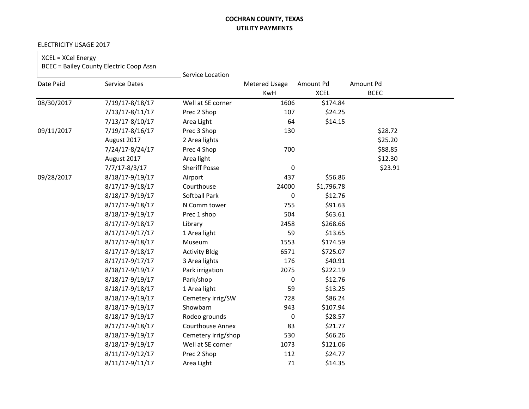٦

#### ELECTRICITY USAGE 2017

 $\Box$ 

| XCEL = XCel Energy<br><b>BCEC = Bailey County Electric Coop Assn</b> |                      | Service Location        |                                    |                          |                          |  |
|----------------------------------------------------------------------|----------------------|-------------------------|------------------------------------|--------------------------|--------------------------|--|
| Date Paid                                                            | <b>Service Dates</b> |                         | <b>Metered Usage</b><br><b>KwH</b> | Amount Pd<br><b>XCEL</b> | Amount Pd<br><b>BCEC</b> |  |
| 08/30/2017                                                           | 7/19/17-8/18/17      | Well at SE corner       | 1606                               | \$174.84                 |                          |  |
|                                                                      | 7/13/17-8/11/17      | Prec 2 Shop             | 107                                | \$24.25                  |                          |  |
|                                                                      | 7/13/17-8/10/17      | Area Light              | 64                                 | \$14.15                  |                          |  |
| 09/11/2017                                                           | 7/19/17-8/16/17      | Prec 3 Shop             | 130                                |                          | \$28.72                  |  |
|                                                                      | August 2017          | 2 Area lights           |                                    |                          | \$25.20                  |  |
|                                                                      | 7/24/17-8/24/17      | Prec 4 Shop             | 700                                |                          | \$88.85                  |  |
|                                                                      | August 2017          | Area light              |                                    |                          | \$12.30                  |  |
|                                                                      | $7/7/17 - 8/3/17$    | <b>Sheriff Posse</b>    | $\pmb{0}$                          |                          | \$23.91                  |  |
| 09/28/2017                                                           | 8/18/17-9/19/17      | Airport                 | 437                                | \$56.86                  |                          |  |
|                                                                      | 8/17/17-9/18/17      | Courthouse              | 24000                              | \$1,796.78               |                          |  |
|                                                                      | 8/18/17-9/19/17      | <b>Softball Park</b>    | 0                                  | \$12.76                  |                          |  |
|                                                                      | 8/17/17-9/18/17      | N Comm tower            | 755                                | \$91.63                  |                          |  |
|                                                                      | 8/18/17-9/19/17      | Prec 1 shop             | 504                                | \$63.61                  |                          |  |
|                                                                      | 8/17/17-9/18/17      | Library                 | 2458                               | \$268.66                 |                          |  |
|                                                                      | 8/17/17-9/17/17      | 1 Area light            | 59                                 | \$13.65                  |                          |  |
|                                                                      | 8/17/17-9/18/17      | Museum                  | 1553                               | \$174.59                 |                          |  |
|                                                                      | 8/17/17-9/18/17      | <b>Activity Bldg</b>    | 6571                               | \$725.07                 |                          |  |
|                                                                      | 8/17/17-9/17/17      | 3 Area lights           | 176                                | \$40.91                  |                          |  |
|                                                                      | 8/18/17-9/19/17      | Park irrigation         | 2075                               | \$222.19                 |                          |  |
|                                                                      | 8/18/17-9/19/17      | Park/shop               | 0                                  | \$12.76                  |                          |  |
|                                                                      | 8/18/17-9/18/17      | 1 Area light            | 59                                 | \$13.25                  |                          |  |
|                                                                      | 8/18/17-9/19/17      | Cemetery irrig/SW       | 728                                | \$86.24                  |                          |  |
|                                                                      | 8/18/17-9/19/17      | Showbarn                | 943                                | \$107.94                 |                          |  |
|                                                                      | 8/18/17-9/19/17      | Rodeo grounds           | 0                                  | \$28.57                  |                          |  |
|                                                                      | 8/17/17-9/18/17      | <b>Courthouse Annex</b> | 83                                 | \$21.77                  |                          |  |
|                                                                      | 8/18/17-9/19/17      | Cemetery irrig/shop     | 530                                | \$66.26                  |                          |  |
|                                                                      | 8/18/17-9/19/17      | Well at SE corner       | 1073                               | \$121.06                 |                          |  |
|                                                                      | 8/11/17-9/12/17      | Prec 2 Shop             | 112                                | \$24.77                  |                          |  |
|                                                                      | 8/11/17-9/11/17      | Area Light              | 71                                 | \$14.35                  |                          |  |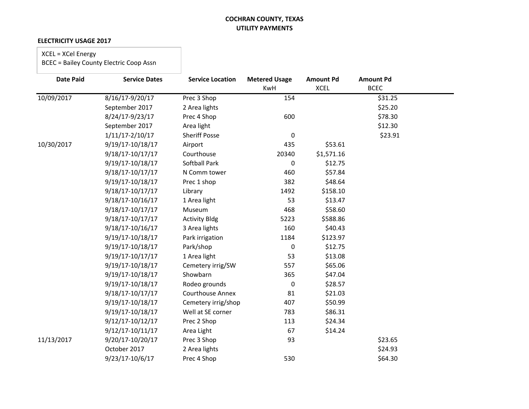#### **ELECTRICITY USAGE 2017**

### XCEL = XCel Energy

| <b>Date Paid</b> | <b>Service Dates</b> | <b>Service Location</b> | <b>Metered Usage</b> | <b>Amount Pd</b> | <b>Amount Pd</b> |  |
|------------------|----------------------|-------------------------|----------------------|------------------|------------------|--|
|                  |                      |                         | <b>KwH</b>           | <b>XCEL</b>      | <b>BCEC</b>      |  |
| 10/09/2017       | 8/16/17-9/20/17      | Prec 3 Shop             | 154                  |                  | \$31.25          |  |
|                  | September 2017       | 2 Area lights           |                      |                  | \$25.20          |  |
|                  | 8/24/17-9/23/17      | Prec 4 Shop             | 600                  |                  | \$78.30          |  |
|                  | September 2017       | Area light              |                      |                  | \$12.30          |  |
|                  | $1/11/17 - 2/10/17$  | <b>Sheriff Posse</b>    | $\mathbf 0$          |                  | \$23.91          |  |
| 10/30/2017       | 9/19/17-10/18/17     | Airport                 | 435                  | \$53.61          |                  |  |
|                  | 9/18/17-10/17/17     | Courthouse              | 20340                | \$1,571.16       |                  |  |
|                  | 9/19/17-10/18/17     | <b>Softball Park</b>    | 0                    | \$12.75          |                  |  |
|                  | 9/18/17-10/17/17     | N Comm tower            | 460                  | \$57.84          |                  |  |
|                  | 9/19/17-10/18/17     | Prec 1 shop             | 382                  | \$48.64          |                  |  |
|                  | 9/18/17-10/17/17     | Library                 | 1492                 | \$158.10         |                  |  |
|                  | 9/18/17-10/16/17     | 1 Area light            | 53                   | \$13.47          |                  |  |
|                  | 9/18/17-10/17/17     | Museum                  | 468                  | \$58.60          |                  |  |
|                  | 9/18/17-10/17/17     | <b>Activity Bldg</b>    | 5223                 | \$588.86         |                  |  |
|                  | 9/18/17-10/16/17     | 3 Area lights           | 160                  | \$40.43          |                  |  |
|                  | 9/19/17-10/18/17     | Park irrigation         | 1184                 | \$123.97         |                  |  |
|                  | 9/19/17-10/18/17     | Park/shop               | 0                    | \$12.75          |                  |  |
|                  | 9/19/17-10/17/17     | 1 Area light            | 53                   | \$13.08          |                  |  |
|                  | 9/19/17-10/18/17     | Cemetery irrig/SW       | 557                  | \$65.06          |                  |  |
|                  | 9/19/17-10/18/17     | Showbarn                | 365                  | \$47.04          |                  |  |
|                  | 9/19/17-10/18/17     | Rodeo grounds           | 0                    | \$28.57          |                  |  |
|                  | 9/18/17-10/17/17     | <b>Courthouse Annex</b> | 81                   | \$21.03          |                  |  |
|                  | 9/19/17-10/18/17     | Cemetery irrig/shop     | 407                  | \$50.99          |                  |  |
|                  | 9/19/17-10/18/17     | Well at SE corner       | 783                  | \$86.31          |                  |  |
|                  | 9/12/17-10/12/17     | Prec 2 Shop             | 113                  | \$24.34          |                  |  |
|                  | 9/12/17-10/11/17     | Area Light              | 67                   | \$14.24          |                  |  |
| 11/13/2017       | 9/20/17-10/20/17     | Prec 3 Shop             | 93                   |                  | \$23.65          |  |
|                  | October 2017         | 2 Area lights           |                      |                  | \$24.93          |  |
|                  | 9/23/17-10/6/17      | Prec 4 Shop             | 530                  |                  | \$64.30          |  |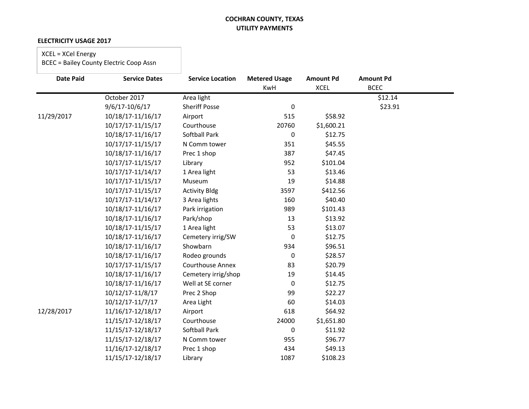#### **ELECTRICITY USAGE 2017**

## XCEL = XCel Energy

| <b>Date Paid</b> | <b>Service Dates</b> | <b>Service Location</b> | <b>Metered Usage</b> | <b>Amount Pd</b> | <b>Amount Pd</b> |  |
|------------------|----------------------|-------------------------|----------------------|------------------|------------------|--|
|                  |                      |                         | KwH                  | <b>XCEL</b>      | <b>BCEC</b>      |  |
|                  | October 2017         | Area light              |                      |                  | \$12.14          |  |
|                  | 9/6/17-10/6/17       | <b>Sheriff Posse</b>    | 0                    |                  | \$23.91          |  |
| 11/29/2017       | 10/18/17-11/16/17    | Airport                 | 515                  | \$58.92          |                  |  |
|                  | 10/17/17-11/15/17    | Courthouse              | 20760                | \$1,600.21       |                  |  |
|                  | 10/18/17-11/16/17    | <b>Softball Park</b>    | 0                    | \$12.75          |                  |  |
|                  | 10/17/17-11/15/17    | N Comm tower            | 351                  | \$45.55          |                  |  |
|                  | 10/18/17-11/16/17    | Prec 1 shop             | 387                  | \$47.45          |                  |  |
|                  | 10/17/17-11/15/17    | Library                 | 952                  | \$101.04         |                  |  |
|                  | 10/17/17-11/14/17    | 1 Area light            | 53                   | \$13.46          |                  |  |
|                  | 10/17/17-11/15/17    | Museum                  | 19                   | \$14.88          |                  |  |
|                  | 10/17/17-11/15/17    | <b>Activity Bldg</b>    | 3597                 | \$412.56         |                  |  |
|                  | 10/17/17-11/14/17    | 3 Area lights           | 160                  | \$40.40          |                  |  |
|                  | 10/18/17-11/16/17    | Park irrigation         | 989                  | \$101.43         |                  |  |
|                  | 10/18/17-11/16/17    | Park/shop               | 13                   | \$13.92          |                  |  |
|                  | 10/18/17-11/15/17    | 1 Area light            | 53                   | \$13.07          |                  |  |
|                  | 10/18/17-11/16/17    | Cemetery irrig/SW       | 0                    | \$12.75          |                  |  |
|                  | 10/18/17-11/16/17    | Showbarn                | 934                  | \$96.51          |                  |  |
|                  | 10/18/17-11/16/17    | Rodeo grounds           | $\Omega$             | \$28.57          |                  |  |
|                  | 10/17/17-11/15/17    | <b>Courthouse Annex</b> | 83                   | \$20.79          |                  |  |
|                  | 10/18/17-11/16/17    | Cemetery irrig/shop     | 19                   | \$14.45          |                  |  |
|                  | 10/18/17-11/16/17    | Well at SE corner       | $\mathbf{0}$         | \$12.75          |                  |  |
|                  | 10/12/17-11/8/17     | Prec 2 Shop             | 99                   | \$22.27          |                  |  |
|                  | 10/12/17-11/7/17     | Area Light              | 60                   | \$14.03          |                  |  |
| 12/28/2017       | 11/16/17-12/18/17    | Airport                 | 618                  | \$64.92          |                  |  |
|                  | 11/15/17-12/18/17    | Courthouse              | 24000                | \$1,651.80       |                  |  |
|                  | 11/15/17-12/18/17    | <b>Softball Park</b>    | 0                    | \$11.92          |                  |  |
|                  | 11/15/17-12/18/17    | N Comm tower            | 955                  | \$96.77          |                  |  |
|                  | 11/16/17-12/18/17    | Prec 1 shop             | 434                  | \$49.13          |                  |  |
|                  | 11/15/17-12/18/17    | Library                 | 1087                 | \$108.23         |                  |  |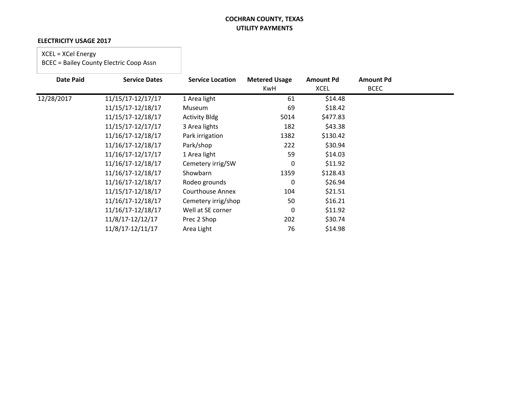#### **ELECTRICITY USAGE 2017**

### XCEL = XCel Energy

| <b>Date Paid</b> | <b>Service Dates</b> | <b>Service Location</b> | <b>Metered Usage</b><br>KwH | <b>Amount Pd</b><br><b>XCEL</b> | <b>Amount Pd</b><br><b>BCEC</b> |  |
|------------------|----------------------|-------------------------|-----------------------------|---------------------------------|---------------------------------|--|
| 12/28/2017       | 11/15/17-12/17/17    | 1 Area light            | 61                          | \$14.48                         |                                 |  |
|                  | 11/15/17-12/18/17    | Museum                  | 69                          | \$18.42                         |                                 |  |
|                  | 11/15/17-12/18/17    | <b>Activity Bldg</b>    | 5014                        | \$477.83                        |                                 |  |
|                  | 11/15/17-12/17/17    | 3 Area lights           | 182                         | \$43.38                         |                                 |  |
|                  | 11/16/17-12/18/17    | Park irrigation         | 1382                        | \$130.42                        |                                 |  |
|                  | 11/16/17-12/18/17    | Park/shop               | 222                         | \$30.94                         |                                 |  |
|                  | 11/16/17-12/17/17    | 1 Area light            | 59                          | \$14.03                         |                                 |  |
|                  | 11/16/17-12/18/17    | Cemetery irrig/SW       | 0                           | \$11.92                         |                                 |  |
|                  | 11/16/17-12/18/17    | Showbarn                | 1359                        | \$128.43                        |                                 |  |
|                  | 11/16/17-12/18/17    | Rodeo grounds           | 0                           | \$26.94                         |                                 |  |
|                  | 11/15/17-12/18/17    | Courthouse Annex        | 104                         | \$21.51                         |                                 |  |
|                  | 11/16/17-12/18/17    | Cemetery irrig/shop     | 50                          | \$16.21                         |                                 |  |
|                  | 11/16/17-12/18/17    | Well at SE corner       | 0                           | \$11.92                         |                                 |  |
|                  | 11/8/17-12/12/17     | Prec 2 Shop             | 202                         | \$30.74                         |                                 |  |
|                  | 11/8/17-12/11/17     | Area Light              | 76                          | \$14.98                         |                                 |  |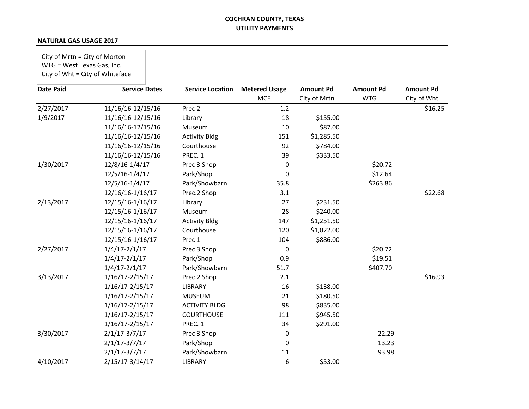#### **NATURAL GAS USAGE 2017**

City of Mrtn = City of Morton WTG = West Texas Gas, Inc. City of Wht = City of Whiteface

| <b>Date Paid</b> | <b>Service Dates</b> | <b>Service Location</b> | <b>Metered Usage</b> | <b>Amount Pd</b> | <b>Amount Pd</b> | <b>Amount Pd</b> |
|------------------|----------------------|-------------------------|----------------------|------------------|------------------|------------------|
|                  |                      |                         | <b>MCF</b>           | City of Mrtn     | <b>WTG</b>       | City of Wht      |
| 2/27/2017        | 11/16/16-12/15/16    | Prec <sub>2</sub>       | 1.2                  |                  |                  | \$16.25          |
| 1/9/2017         | 11/16/16-12/15/16    | Library                 | 18                   | \$155.00         |                  |                  |
|                  | 11/16/16-12/15/16    | Museum                  | 10                   | \$87.00          |                  |                  |
|                  | 11/16/16-12/15/16    | <b>Activity Bldg</b>    | 151                  | \$1,285.50       |                  |                  |
|                  | 11/16/16-12/15/16    | Courthouse              | 92                   | \$784.00         |                  |                  |
|                  | 11/16/16-12/15/16    | PREC. 1                 | 39                   | \$333.50         |                  |                  |
| 1/30/2017        | 12/8/16-1/4/17       | Prec 3 Shop             | 0                    |                  | \$20.72          |                  |
|                  | 12/5/16-1/4/17       | Park/Shop               | 0                    |                  | \$12.64          |                  |
|                  | 12/5/16-1/4/17       | Park/Showbarn           | 35.8                 |                  | \$263.86         |                  |
|                  | 12/16/16-1/16/17     | Prec.2 Shop             | 3.1                  |                  |                  | \$22.68          |
| 2/13/2017        | 12/15/16-1/16/17     | Library                 | 27                   | \$231.50         |                  |                  |
|                  | 12/15/16-1/16/17     | Museum                  | 28                   | \$240.00         |                  |                  |
|                  | 12/15/16-1/16/17     | <b>Activity Bldg</b>    | 147                  | \$1,251.50       |                  |                  |
|                  | 12/15/16-1/16/17     | Courthouse              | 120                  | \$1,022.00       |                  |                  |
|                  | 12/15/16-1/16/17     | Prec 1                  | 104                  | \$886.00         |                  |                  |
| 2/27/2017        | $1/4/17 - 2/1/17$    | Prec 3 Shop             | 0                    |                  | \$20.72          |                  |
|                  | $1/4/17 - 2/1/17$    | Park/Shop               | 0.9                  |                  | \$19.51          |                  |
|                  | $1/4/17 - 2/1/17$    | Park/Showbarn           | 51.7                 |                  | \$407.70         |                  |
| 3/13/2017        | 1/16/17-2/15/17      | Prec.2 Shop             | 2.1                  |                  |                  | \$16.93          |
|                  | $1/16/17 - 2/15/17$  | <b>LIBRARY</b>          | 16                   | \$138.00         |                  |                  |
|                  | $1/16/17 - 2/15/17$  | <b>MUSEUM</b>           | 21                   | \$180.50         |                  |                  |
|                  | $1/16/17 - 2/15/17$  | <b>ACTIVITY BLDG</b>    | 98                   | \$835.00         |                  |                  |
|                  | $1/16/17 - 2/15/17$  | <b>COURTHOUSE</b>       | 111                  | \$945.50         |                  |                  |
|                  | $1/16/17 - 2/15/17$  | PREC. 1                 | 34                   | \$291.00         |                  |                  |
| 3/30/2017        | $2/1/17 - 3/7/17$    | Prec 3 Shop             | 0                    |                  | 22.29            |                  |
|                  | $2/1/17 - 3/7/17$    | Park/Shop               | 0                    |                  | 13.23            |                  |
|                  | $2/1/17 - 3/7/17$    | Park/Showbarn           | 11                   |                  | 93.98            |                  |
| 4/10/2017        | 2/15/17-3/14/17      | <b>LIBRARY</b>          | 6                    | \$53.00          |                  |                  |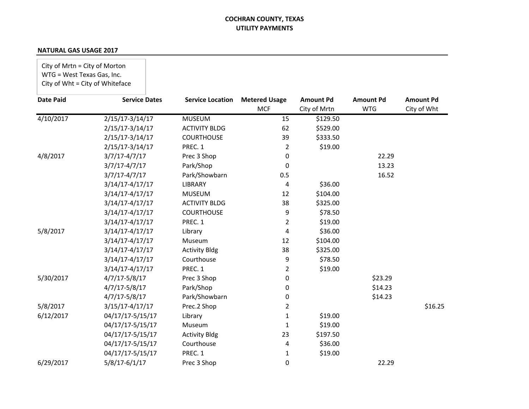| City of Mrtn = City of Morton<br>WTG = West Texas Gas, Inc. | City of Wht = City of Whiteface |                         |                                    |                                  |                                |                                 |
|-------------------------------------------------------------|---------------------------------|-------------------------|------------------------------------|----------------------------------|--------------------------------|---------------------------------|
| <b>Date Paid</b>                                            | <b>Service Dates</b>            | <b>Service Location</b> | <b>Metered Usage</b><br><b>MCF</b> | <b>Amount Pd</b><br>City of Mrtn | <b>Amount Pd</b><br><b>WTG</b> | <b>Amount Pd</b><br>City of Wht |
| 4/10/2017                                                   | $2/15/17 - 3/14/17$             | <b>MUSEUM</b>           | 15                                 | \$129.50                         |                                |                                 |
|                                                             | $2/15/17 - 3/14/17$             | <b>ACTIVITY BLDG</b>    | 62                                 | \$529.00                         |                                |                                 |
|                                                             | $2/15/17 - 3/14/17$             | <b>COURTHOUSE</b>       | 39                                 | \$333.50                         |                                |                                 |
|                                                             | $2/15/17 - 3/14/17$             | PREC. 1                 | $\overline{2}$                     | \$19.00                          |                                |                                 |
| 4/8/2017                                                    | $3/7/17 - 4/7/17$               | Prec 3 Shop             | 0                                  |                                  | 22.29                          |                                 |
|                                                             | $3/7/17 - 4/7/17$               | Park/Shop               | 0                                  |                                  | 13.23                          |                                 |
|                                                             | $3/7/17 - 4/7/17$               | Park/Showbarn           | 0.5                                |                                  | 16.52                          |                                 |
|                                                             | 3/14/17-4/17/17                 | <b>LIBRARY</b>          | 4                                  | \$36.00                          |                                |                                 |
|                                                             | $3/14/17 - 4/17/17$             | <b>MUSEUM</b>           | 12                                 | \$104.00                         |                                |                                 |
|                                                             | 3/14/17-4/17/17                 | <b>ACTIVITY BLDG</b>    | 38                                 | \$325.00                         |                                |                                 |
|                                                             | $3/14/17 - 4/17/17$             | <b>COURTHOUSE</b>       | 9                                  | \$78.50                          |                                |                                 |
|                                                             | $3/14/17 - 4/17/17$             | PREC. 1                 | $\overline{2}$                     | \$19.00                          |                                |                                 |
| 5/8/2017                                                    | 3/14/17-4/17/17                 | Library                 | 4                                  | \$36.00                          |                                |                                 |
|                                                             | 3/14/17-4/17/17                 | Museum                  | 12                                 | \$104.00                         |                                |                                 |
|                                                             | $3/14/17 - 4/17/17$             | <b>Activity Bldg</b>    | 38                                 | \$325.00                         |                                |                                 |
|                                                             | $3/14/17 - 4/17/17$             | Courthouse              | 9                                  | \$78.50                          |                                |                                 |
|                                                             | 3/14/17-4/17/17                 | PREC. 1                 | $\overline{2}$                     | \$19.00                          |                                |                                 |
| 5/30/2017                                                   | $4/7/17 - 5/8/17$               | Prec 3 Shop             | 0                                  |                                  | \$23.29                        |                                 |
|                                                             | $4/7/17 - 5/8/17$               | Park/Shop               | 0                                  |                                  | \$14.23                        |                                 |
|                                                             | $4/7/17 - 5/8/17$               | Park/Showbarn           | 0                                  |                                  | \$14.23                        |                                 |
| 5/8/2017                                                    | $3/15/17 - 4/17/17$             | Prec.2 Shop             | $\overline{2}$                     |                                  |                                | \$16.25                         |
| 6/12/2017                                                   | 04/17/17-5/15/17                | Library                 | 1                                  | \$19.00                          |                                |                                 |
|                                                             | 04/17/17-5/15/17                | Museum                  | $\mathbf{1}$                       | \$19.00                          |                                |                                 |
|                                                             | 04/17/17-5/15/17                | <b>Activity Bldg</b>    | 23                                 | \$197.50                         |                                |                                 |
|                                                             | 04/17/17-5/15/17                | Courthouse              | 4                                  | \$36.00                          |                                |                                 |
|                                                             | 04/17/17-5/15/17                | PREC. 1                 | $\mathbf{1}$                       | \$19.00                          |                                |                                 |
| 6/29/2017                                                   | $5/8/17 - 6/1/17$               | Prec 3 Shop             | 0                                  |                                  | 22.29                          |                                 |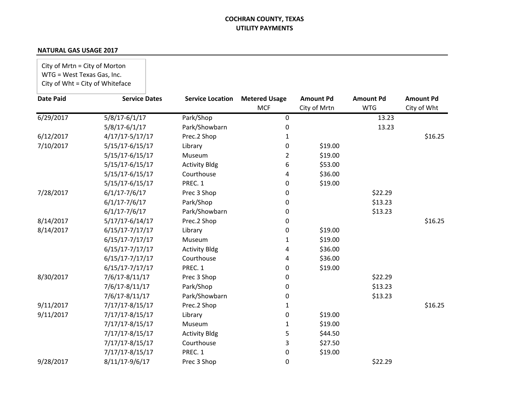| City of Mrtn = City of Morton<br>WTG = West Texas Gas, Inc. | City of Wht = City of Whiteface |                         |                                    |                                  |                                |                                 |
|-------------------------------------------------------------|---------------------------------|-------------------------|------------------------------------|----------------------------------|--------------------------------|---------------------------------|
| <b>Date Paid</b>                                            | <b>Service Dates</b>            | <b>Service Location</b> | <b>Metered Usage</b><br><b>MCF</b> | <b>Amount Pd</b><br>City of Mrtn | <b>Amount Pd</b><br><b>WTG</b> | <b>Amount Pd</b><br>City of Wht |
| 6/29/2017                                                   | $5/8/17 - 6/1/17$               | Park/Shop               | $\mathbf 0$                        |                                  | 13.23                          |                                 |
|                                                             | $5/8/17 - 6/1/17$               | Park/Showbarn           | $\mathbf 0$                        |                                  | 13.23                          |                                 |
| 6/12/2017                                                   | $4/17/17 - 5/17/17$             | Prec.2 Shop             | 1                                  |                                  |                                | \$16.25                         |
| 7/10/2017                                                   | 5/15/17-6/15/17                 | Library                 | 0                                  | \$19.00                          |                                |                                 |
|                                                             | $5/15/17 - 6/15/17$             | Museum                  | $\overline{2}$                     | \$19.00                          |                                |                                 |
|                                                             | 5/15/17-6/15/17                 | <b>Activity Bldg</b>    | 6                                  | \$53.00                          |                                |                                 |
|                                                             | 5/15/17-6/15/17                 | Courthouse              | 4                                  | \$36.00                          |                                |                                 |
|                                                             | 5/15/17-6/15/17                 | PREC. 1                 | 0                                  | \$19.00                          |                                |                                 |
| 7/28/2017                                                   | $6/1/17 - 7/6/17$               | Prec 3 Shop             | 0                                  |                                  | \$22.29                        |                                 |
|                                                             | $6/1/17 - 7/6/17$               | Park/Shop               | 0                                  |                                  | \$13.23                        |                                 |
|                                                             | $6/1/17 - 7/6/17$               | Park/Showbarn           | 0                                  |                                  | \$13.23                        |                                 |
| 8/14/2017                                                   | $5/17/17 - 6/14/17$             | Prec.2 Shop             | 0                                  |                                  |                                | \$16.25                         |
| 8/14/2017                                                   | $6/15/17 - 7/17/17$             | Library                 | 0                                  | \$19.00                          |                                |                                 |
|                                                             | $6/15/17 - 7/17/17$             | Museum                  | 1                                  | \$19.00                          |                                |                                 |
|                                                             | $6/15/17 - 7/17/17$             | <b>Activity Bldg</b>    | 4                                  | \$36.00                          |                                |                                 |
|                                                             | $6/15/17 - 7/17/17$             | Courthouse              | 4                                  | \$36.00                          |                                |                                 |
|                                                             | $6/15/17 - 7/17/17$             | PREC. 1                 | $\mathbf 0$                        | \$19.00                          |                                |                                 |
| 8/30/2017                                                   | 7/6/17-8/11/17                  | Prec 3 Shop             | 0                                  |                                  | \$22.29                        |                                 |
|                                                             | 7/6/17-8/11/17                  | Park/Shop               | 0                                  |                                  | \$13.23                        |                                 |
|                                                             | 7/6/17-8/11/17                  | Park/Showbarn           | $\mathbf 0$                        |                                  | \$13.23                        |                                 |
| 9/11/2017                                                   | 7/17/17-8/15/17                 | Prec.2 Shop             | 1                                  |                                  |                                | \$16.25                         |
| 9/11/2017                                                   | 7/17/17-8/15/17                 | Library                 | $\mathbf 0$                        | \$19.00                          |                                |                                 |
|                                                             | $7/17/17 - 8/15/17$             | Museum                  | 1                                  | \$19.00                          |                                |                                 |
|                                                             | 7/17/17-8/15/17                 | <b>Activity Bldg</b>    | 5                                  | \$44.50                          |                                |                                 |
|                                                             | 7/17/17-8/15/17                 | Courthouse              | 3                                  | \$27.50                          |                                |                                 |
|                                                             | 7/17/17-8/15/17                 | PREC. 1                 | $\mathbf 0$                        | \$19.00                          |                                |                                 |
| 9/28/2017                                                   | 8/11/17-9/6/17                  | Prec 3 Shop             | $\mathbf 0$                        |                                  | \$22.29                        |                                 |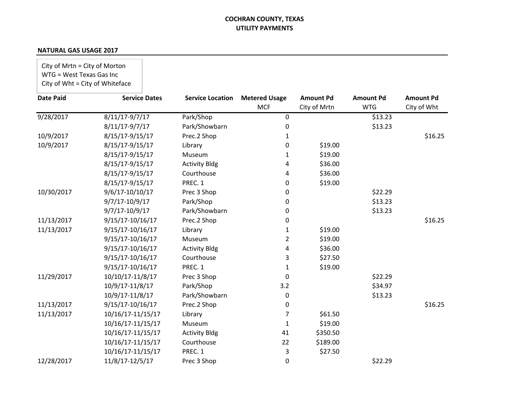| City of Mrtn = City of Morton<br>WTG = West Texas Gas Inc<br>City of Wht = City of Whiteface |                      |                         |                           |                  |                       |                  |
|----------------------------------------------------------------------------------------------|----------------------|-------------------------|---------------------------|------------------|-----------------------|------------------|
| <b>Date Paid</b>                                                                             | <b>Service Dates</b> | <b>Service Location</b> | <b>Metered Usage</b>      | <b>Amount Pd</b> | <b>Amount Pd</b>      | <b>Amount Pd</b> |
| 9/28/2017                                                                                    | 8/11/17-9/7/17       | Park/Shop               | <b>MCF</b><br>$\mathbf 0$ | City of Mrtn     | <b>WTG</b><br>\$13.23 | City of Wht      |
|                                                                                              | $8/11/17 - 9/7/17$   | Park/Showbarn           | $\mathbf 0$               |                  | \$13.23               |                  |
| 10/9/2017                                                                                    | 8/15/17-9/15/17      | Prec.2 Shop             | $\mathbf{1}$              |                  |                       | \$16.25          |
| 10/9/2017                                                                                    | 8/15/17-9/15/17      | Library                 | 0                         | \$19.00          |                       |                  |
|                                                                                              | 8/15/17-9/15/17      | Museum                  | 1                         | \$19.00          |                       |                  |
|                                                                                              | 8/15/17-9/15/17      | <b>Activity Bldg</b>    | 4                         | \$36.00          |                       |                  |
|                                                                                              | 8/15/17-9/15/17      | Courthouse              | 4                         | \$36.00          |                       |                  |
|                                                                                              | 8/15/17-9/15/17      | PREC. 1                 | 0                         | \$19.00          |                       |                  |
| 10/30/2017                                                                                   | 9/6/17-10/10/17      | Prec 3 Shop             | 0                         |                  | \$22.29               |                  |
|                                                                                              | 9/7/17-10/9/17       | Park/Shop               | 0                         |                  | \$13.23               |                  |
|                                                                                              | 9/7/17-10/9/17       | Park/Showbarn           | 0                         |                  | \$13.23               |                  |
| 11/13/2017                                                                                   | 9/15/17-10/16/17     | Prec.2 Shop             | 0                         |                  |                       | \$16.25          |
| 11/13/2017                                                                                   | 9/15/17-10/16/17     | Library                 | 1                         | \$19.00          |                       |                  |
|                                                                                              | 9/15/17-10/16/17     | Museum                  | $\overline{2}$            | \$19.00          |                       |                  |
|                                                                                              | 9/15/17-10/16/17     | <b>Activity Bldg</b>    | 4                         | \$36.00          |                       |                  |
|                                                                                              | 9/15/17-10/16/17     | Courthouse              | 3                         | \$27.50          |                       |                  |
|                                                                                              | 9/15/17-10/16/17     | PREC. 1                 | 1                         | \$19.00          |                       |                  |
| 11/29/2017                                                                                   | 10/10/17-11/8/17     | Prec 3 Shop             | $\mathbf 0$               |                  | \$22.29               |                  |
|                                                                                              | 10/9/17-11/8/17      | Park/Shop               | 3.2                       |                  | \$34.97               |                  |
|                                                                                              | 10/9/17-11/8/17      | Park/Showbarn           | $\mathbf 0$               |                  | \$13.23               |                  |
| 11/13/2017                                                                                   | 9/15/17-10/16/17     | Prec.2 Shop             | 0                         |                  |                       | \$16.25          |
| 11/13/2017                                                                                   | 10/16/17-11/15/17    | Library                 | $\overline{7}$            | \$61.50          |                       |                  |
|                                                                                              | 10/16/17-11/15/17    | Museum                  | $\mathbf{1}$              | \$19.00          |                       |                  |
|                                                                                              | 10/16/17-11/15/17    | <b>Activity Bldg</b>    | 41                        | \$350.50         |                       |                  |
|                                                                                              | 10/16/17-11/15/17    | Courthouse              | 22                        | \$189.00         |                       |                  |
|                                                                                              | 10/16/17-11/15/17    | PREC. 1                 | 3                         | \$27.50          |                       |                  |
| 12/28/2017                                                                                   | 11/8/17-12/5/17      | Prec 3 Shop             | $\mathbf 0$               |                  | \$22.29               |                  |